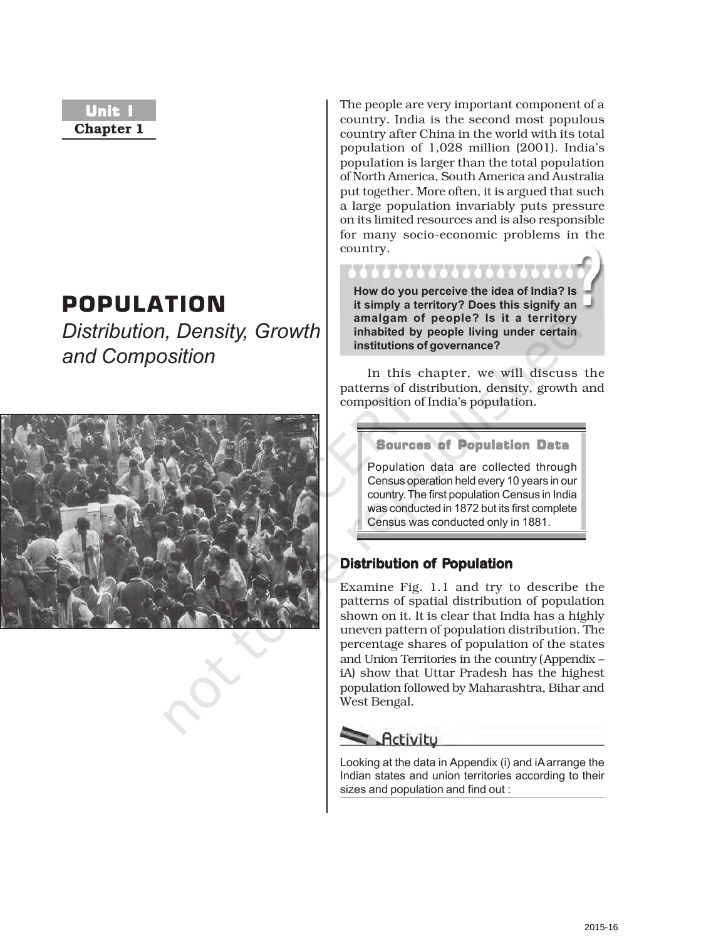# Unit I **Chapter 1**

# POPULATION

*Distribution, Density, Growth and Composition*



The people are very important component of a country. India is the second most populous country after China in the world with its total population of 1,028 million (2001). India's population is larger than the total population of North America, South America and Australia put together. More often, it is argued that such a large population invariably puts pressure on its limited resources and is also responsible for many socio-economic problems in the country.

**How do you perceive the idea of India? Is it simply a territory? Does this signify an amalgam of people? Is it a territory inhabited by people living under certain institutions of governance?**

In this chapter, we will discuss the patterns of distribution, density, growth and composition of India's population.

Sources of Population Data

Population data are collected through Census operation held every 10 years in our country. The first population Census in India was conducted in 1872 but its first complete Census was conducted only in 1881.

# **Distribution of Population**

Examine Fig. 1.1 and try to describe the patterns of spatial distribution of population shown on it. It is clear that India has a highly uneven pattern of population distribution. The percentage shares of population of the states and Union Territories in the country (Appendix – iA) show that Uttar Pradesh has the highest population followed by Maharashtra, Bihar and West Bengal.

# $\blacktriangleright$  Activity

Looking at the data in Appendix (i) and iA arrange the Indian states and union territories according to their sizes and population and find out :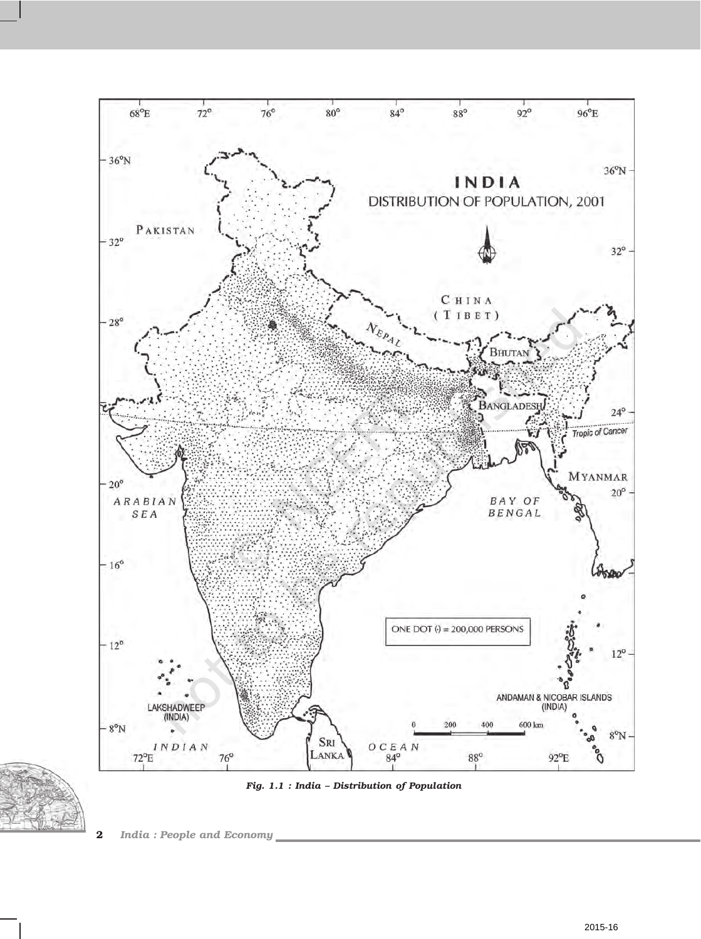



*Fig. 1.1 : India – Distribution of Population*

**2** *India : People and Economy*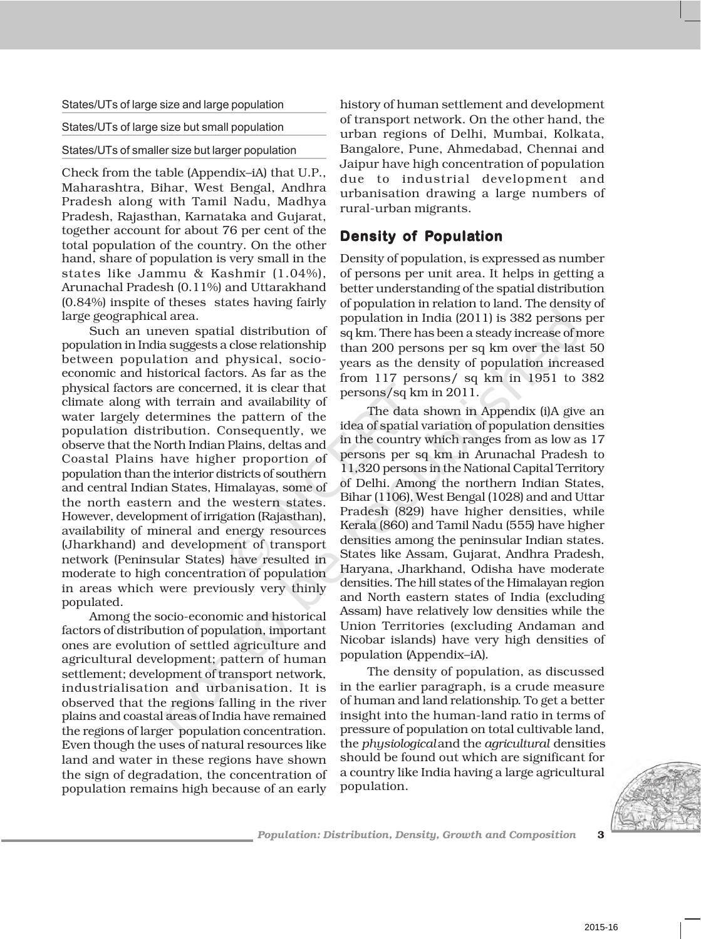States/UTs of large size and large population

#### States/UTs of large size but small population

### States/UTs of smaller size but larger population

Check from the table (Appendix–iA) that U.P., Maharashtra, Bihar, West Bengal, Andhra Pradesh along with Tamil Nadu, Madhya Pradesh, Rajasthan, Karnataka and Gujarat, together account for about 76 per cent of the total population of the country. On the other hand, share of population is very small in the states like Jammu & Kashmir (1.04%), Arunachal Pradesh (0.11%) and Uttarakhand (0.84%) inspite of theses states having fairly large geographical area.

Such an uneven spatial distribution of population in India suggests a close relationship between population and physical, socioeconomic and historical factors. As far as the physical factors are concerned, it is clear that climate along with terrain and availability of water largely determines the pattern of the population distribution. Consequently, we observe that the North Indian Plains, deltas and Coastal Plains have higher proportion of population than the interior districts of southern and central Indian States, Himalayas, some of the north eastern and the western states. However, development of irrigation (Rajasthan), availability of mineral and energy resources (Jharkhand) and development of transport network (Peninsular States) have resulted in moderate to high concentration of population in areas which were previously very thinly populated.

Among the socio-economic and historical factors of distribution of population, important ones are evolution of settled agriculture and agricultural development; pattern of human settlement; development of transport network, industrialisation and urbanisation. It is observed that the regions falling in the river plains and coastal areas of India have remained the regions of larger population concentration. Even though the uses of natural resources like land and water in these regions have shown the sign of degradation, the concentration of population remains high because of an early

history of human settlement and development of transport network. On the other hand, the urban regions of Delhi, Mumbai, Kolkata, Bangalore, Pune, Ahmedabad, Chennai and Jaipur have high concentration of population due to industrial development and urbanisation drawing a large numbers of rural-urban migrants.

# **Density of Population**

Density of population, is expressed as number of persons per unit area. It helps in getting a better understanding of the spatial distribution of population in relation to land. The density of population in India (2011) is 382 persons per sq km. There has been a steady increase of more than 200 persons per sq km over the last 50 years as the density of population increased from 117 persons/ sq km in 1951 to 382 persons/sq km in 2011.

The data shown in Appendix (i)A give an idea of spatial variation of population densities in the country which ranges from as low as 17 persons per sq km in Arunachal Pradesh to 11,320 persons in the National Capital Territory of Delhi. Among the northern Indian States, Bihar (1106), West Bengal (1028) and and Uttar Pradesh (829) have higher densities, while Kerala (860) and Tamil Nadu (555) have higher densities among the peninsular Indian states. States like Assam, Gujarat, Andhra Pradesh, Haryana, Jharkhand, Odisha have moderate densities. The hill states of the Himalayan region and North eastern states of India (excluding Assam) have relatively low densities while the Union Territories (excluding Andaman and Nicobar islands) have very high densities of population (Appendix–iA).

The density of population, as discussed in the earlier paragraph, is a crude measure of human and land relationship. To get a better insight into the human-land ratio in terms of pressure of population on total cultivable land, the *physiological* and the *agricultural* densities should be found out which are significant for a country like India having a large agricultural population.

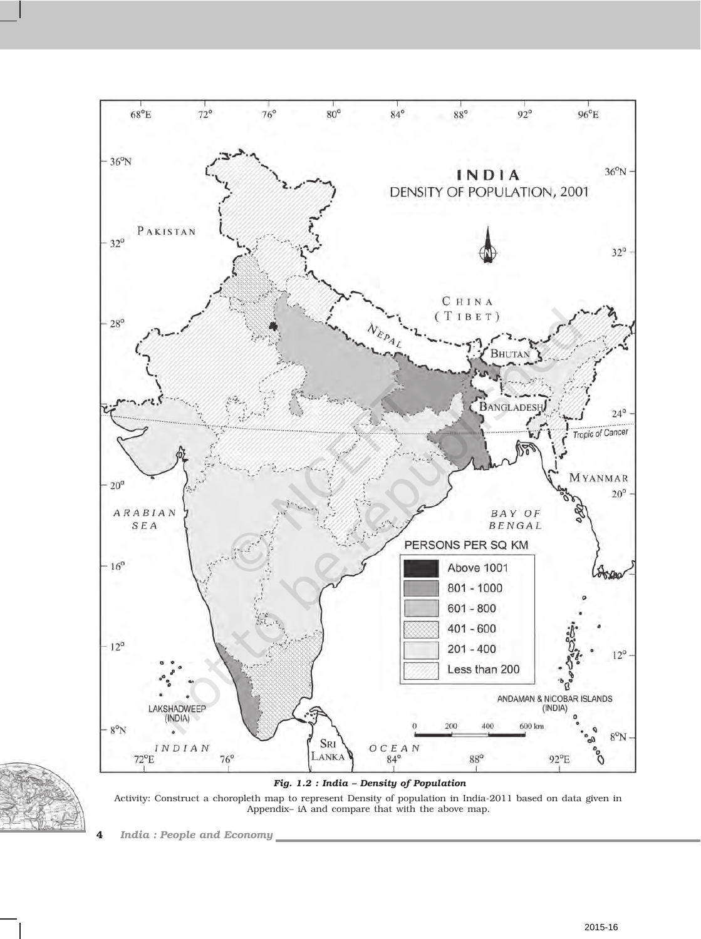



*Fig. 1.2 : India – Density of Population*

Activity: Construct a choropleth map to represent Density of population in India-2011 based on data given in Appendix– iA and compare that with the above map.

**4** *India : People and Economy*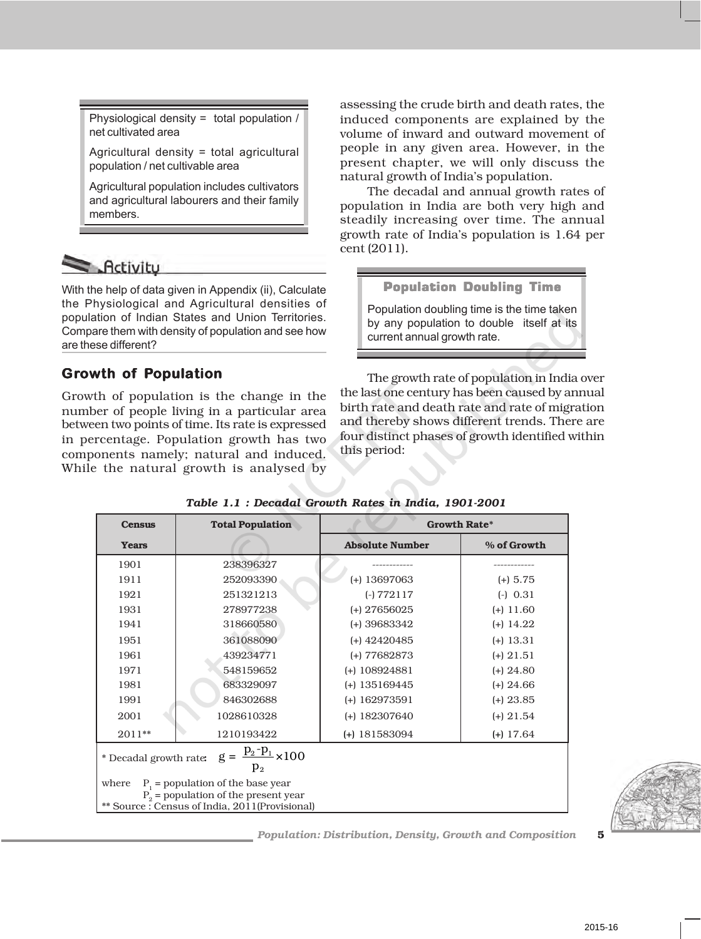Physiological density = total population / net cultivated area

Agricultural density = total agricultural population / net cultivable area

Agricultural population includes cultivators and agricultural labourers and their family members.

# $\leq$  Activity

With the help of data given in Appendix (ii), Calculate the Physiological and Agricultural densities of population of Indian States and Union Territories. Compare them with density of population and see how are these different?

# **Growth of owth of Population**

Growth of population is the change in the number of people living in a particular area between two points of time. Its rate is expressed in percentage. Population growth has two components namely; natural and induced. While the natural growth is analysed by

assessing the crude birth and death rates, the induced components are explained by the volume of inward and outward movement of people in any given area. However, in the present chapter, we will only discuss the natural growth of India's population.

The decadal and annual growth rates of population in India are both very high and steadily increasing over time. The annual growth rate of India's population is 1.64 per cent (2011).

# Population Doubling Time

Population doubling time is the time taken by any population to double itself at its current annual growth rate.

The growth rate of population in India over the last one century has been caused by annual birth rate and death rate and rate of migration and thereby shows different trends. There are four distinct phases of growth identified within this period:

| <b>Census</b>                                                                                                                              | <b>Total Population</b> | <b>Growth Rate*</b>    |             |  |
|--------------------------------------------------------------------------------------------------------------------------------------------|-------------------------|------------------------|-------------|--|
| <b>Years</b>                                                                                                                               |                         | <b>Absolute Number</b> | % of Growth |  |
| 1901                                                                                                                                       | 238396327               |                        |             |  |
| 1911                                                                                                                                       | 252093390               | $(+)$ 13697063         | $(+)$ 5.75  |  |
| 1921                                                                                                                                       | 251321213               | $(-) 772117$           | $(-) 0.31$  |  |
| 1931                                                                                                                                       | 278977238               | $(+)$ 27656025         | $(+)$ 11.60 |  |
| 1941                                                                                                                                       | 318660580               | $(+)$ 39683342         | $(+)$ 14.22 |  |
| 1951                                                                                                                                       | 361088090               | $(+)$ 42420485         | $(+)$ 13.31 |  |
| 1961                                                                                                                                       | 439234771               | $(+) 77682873$         | $(+)$ 21.51 |  |
| 1971                                                                                                                                       | 548159652               | $(+)$ 108924881        | $(+)$ 24.80 |  |
| 1981                                                                                                                                       | 683329097               | $(+)$ 135169445        | $(+)$ 24.66 |  |
| 1991                                                                                                                                       | 846302688               | $(+)$ 162973591        | $(+)$ 23.85 |  |
| 2001                                                                                                                                       | 1028610328              | $(+)$ 182307640        | $(+)$ 21.54 |  |
| $2011**$                                                                                                                                   | 1210193422              | $(+)$ 181583094        | $(+)$ 17.64 |  |
| $g = \frac{p_2 - p_1}{2} \times 100$<br>* Decadal growth rate:<br>$\mathbf{p}_2$                                                           |                         |                        |             |  |
| $P_1$ = population of the base year<br>where<br>$P_{2}$ = population of the present year<br>** Source : Census of India, 2011(Provisional) |                         |                        |             |  |
|                                                                                                                                            |                         |                        |             |  |

# *Table 1.1 : Decadal Growth Rates in India, 1901-2001*

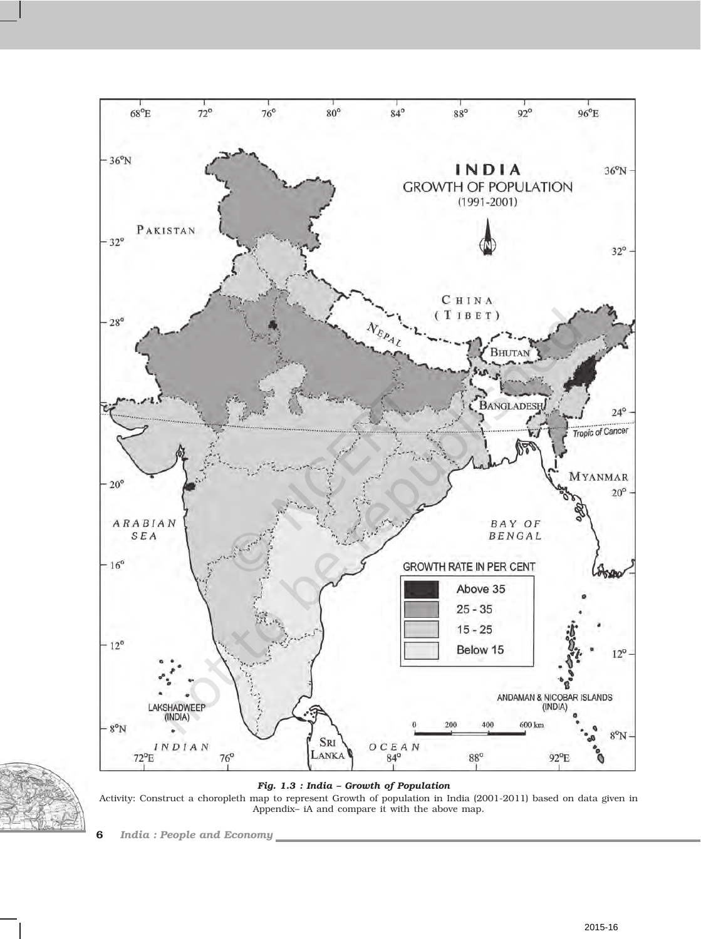



*Fig. 1.3 : India – Growth of Population*

Activity: Construct a choropleth map to represent Growth of population in India (2001-2011) based on data given in Appendix– iA and compare it with the above map.

**6** *India : People and Economy*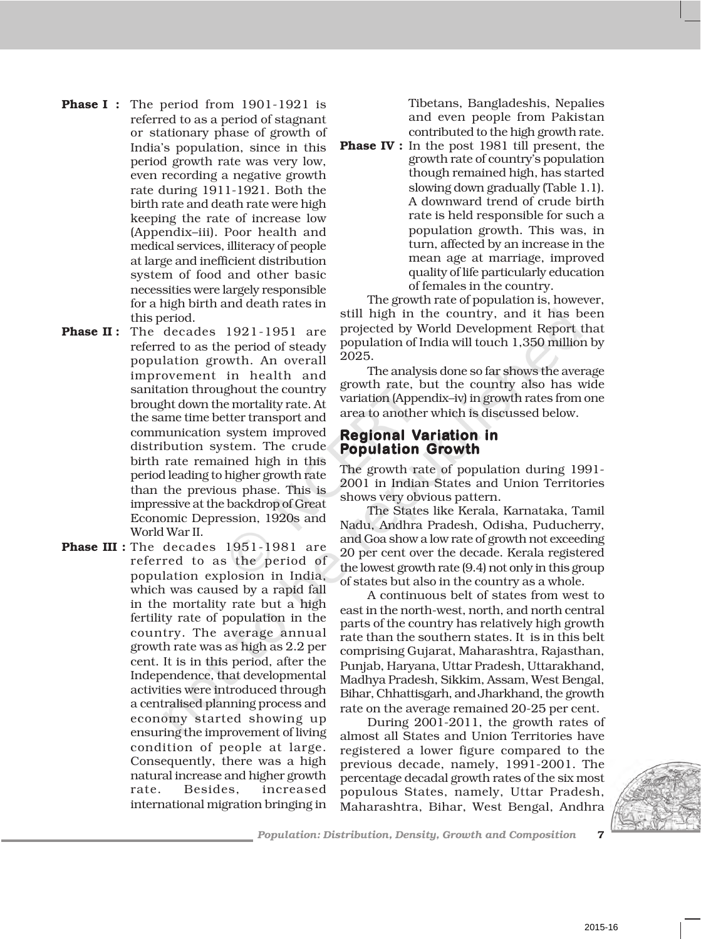- **Phase I :** The period from 1901-1921 is referred to as a period of stagnant or stationary phase of growth of India's population, since in this period growth rate was very low, even recording a negative growth rate during 1911-1921. Both the birth rate and death rate were high keeping the rate of increase low (Appendix–iii). Poor health and medical services, illiteracy of people at large and inefficient distribution system of food and other basic necessities were largely responsible for a high birth and death rates in this period.
- **Phase II**: The decades 1921-1951 are referred to as the period of steady population growth. An overall improvement in health and sanitation throughout the country brought down the mortality rate. At the same time better transport and communication system improved distribution system. The crude birth rate remained high in this period leading to higher growth rate than the previous phase. This is impressive at the backdrop of Great Economic Depression, 1920s and World War II.
- **Phase III** : The decades 1951-1981 are referred to as the period of population explosion in India, which was caused by a rapid fall in the mortality rate but a high fertility rate of population in the country. The average annual growth rate was as high as 2.2 per cent. It is in this period, after the Independence, that developmental activities were introduced through a centralised planning process and economy started showing up ensuring the improvement of living condition of people at large. Consequently, there was a high natural increase and higher growth rate. Besides, increased international migration bringing in

Tibetans, Bangladeshis, Nepalies and even people from Pakistan contributed to the high growth rate.

**Phase IV :** In the post 1981 till present, the growth rate of country's population though remained high, has started slowing down gradually (Table 1.1). A downward trend of crude birth rate is held responsible for such a population growth. This was, in turn, affected by an increase in the mean age at marriage, improved quality of life particularly education of females in the country.

The growth rate of population is, however, still high in the country, and it has been projected by World Development Report that population of India will touch 1,350 million by 2025.

The analysis done so far shows the average growth rate, but the country also has wide variation (Appendix–iv) in growth rates from one area to another which is discussed below.

# **Regional Variation in Population Growth**

The growth rate of population during 1991- 2001 in Indian States and Union Territories shows very obvious pattern.

The States like Kerala, Karnataka, Tamil Nadu, Andhra Pradesh, Odisha, Puducherry, and Goa show a low rate of growth not exceeding 20 per cent over the decade. Kerala registered the lowest growth rate (9.4) not only in this group of states but also in the country as a whole.

A continuous belt of states from west to east in the north-west, north, and north central parts of the country has relatively high growth rate than the southern states. It is in this belt comprising Gujarat, Maharashtra, Rajasthan, Punjab, Haryana, Uttar Pradesh, Uttarakhand, Madhya Pradesh, Sikkim, Assam, West Bengal, Bihar, Chhattisgarh, and Jharkhand, the growth rate on the average remained 20-25 per cent.

During 2001-2011, the growth rates of almost all States and Union Territories have registered a lower figure compared to the previous decade, namely, 1991-2001. The percentage decadal growth rates of the six most populous States, namely, Uttar Pradesh, Maharashtra, Bihar, West Bengal, Andhra

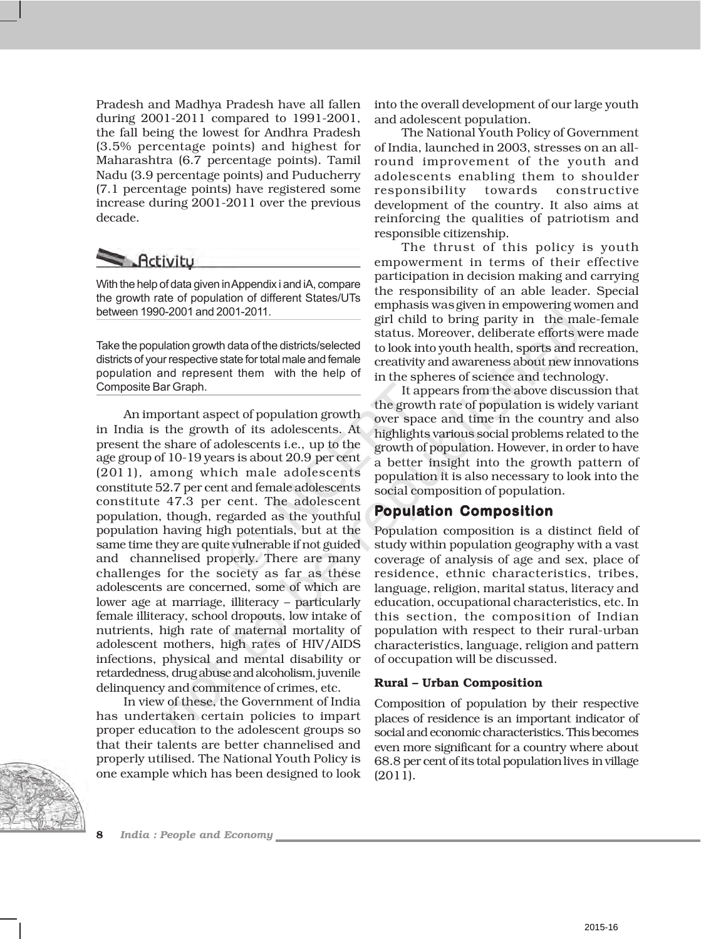Pradesh and Madhya Pradesh have all fallen during 2001-2011 compared to 1991-2001, the fall being the lowest for Andhra Pradesh (3.5% percentage points) and highest for Maharashtra (6.7 percentage points). Tamil Nadu (3.9 percentage points) and Puducherry (7.1 percentage points) have registered some increase during 2001-2011 over the previous decade.



With the help of data given in Appendix i and iA, compare the growth rate of population of different States/UTs between 1990-2001 and 2001-2011.

Take the population growth data of the districts/selected districts of your respective state for total male and female population and represent them with the help of Composite Bar Graph.

An important aspect of population growth in India is the growth of its adolescents. At present the share of adolescents i.e., up to the age group of 10-19 years is about 20.9 per cent (2011), among which male adolescents constitute 52.7 per cent and female adolescents constitute 47.3 per cent. The adolescent population, though, regarded as the youthful population having high potentials, but at the same time they are quite vulnerable if not guided and channelised properly. There are many challenges for the society as far as these adolescents are concerned, some of which are lower age at marriage, illiteracy – particularly female illiteracy, school dropouts, low intake of nutrients, high rate of maternal mortality of adolescent mothers, high rates of HIV/AIDS infections, physical and mental disability or retardedness, drug abuse and alcoholism, juvenile delinquency and commitence of crimes, etc.

In view of these, the Government of India has undertaken certain policies to impart proper education to the adolescent groups so that their talents are better channelised and properly utilised. The National Youth Policy is one example which has been designed to look



into the overall development of our large youth and adolescent population.

The National Youth Policy of Government of India, launched in 2003, stresses on an allround improvement of the youth and adolescents enabling them to shoulder responsibility towards constructive development of the country. It also aims at reinforcing the qualities of patriotism and responsible citizenship.

The thrust of this policy is youth empowerment in terms of their effective participation in decision making and carrying the responsibility of an able leader. Special emphasis was given in empowering women and girl child to bring parity in the male-female status. Moreover, deliberate efforts were made to look into youth health, sports and recreation, creativity and awareness about new innovations in the spheres of science and technology.

It appears from the above discussion that the growth rate of population is widely variant over space and time in the country and also highlights various social problems related to the growth of population. However, in order to have a better insight into the growth pattern of population it is also necessary to look into the social composition of population.

# **Population Composition**

Population composition is a distinct field of study within population geography with a vast coverage of analysis of age and sex, place of residence, ethnic characteristics, tribes, language, religion, marital status, literacy and education, occupational characteristics, etc. In this section, the composition of Indian population with respect to their rural-urban characteristics, language, religion and pattern of occupation will be discussed.

# **Rural – Urban Composition**

Composition of population by their respective places of residence is an important indicator of social and economic characteristics. This becomes even more significant for a country where about 68.8 per cent of its total population lives in village (2011).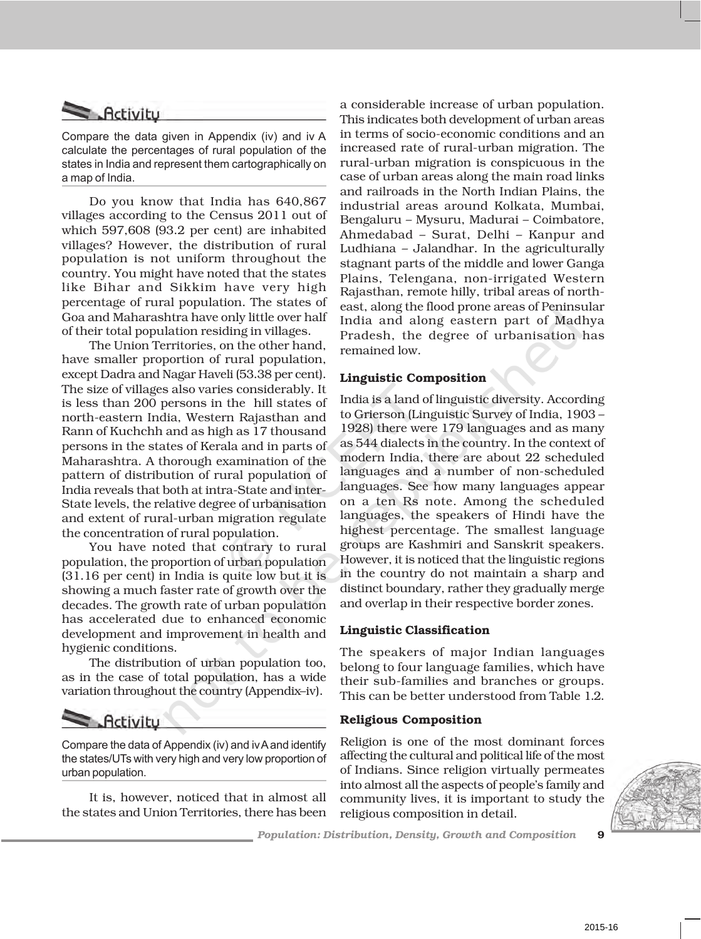# **Activity**

Compare the data given in Appendix (iv) and iv A calculate the percentages of rural population of the states in India and represent them cartographically on a map of India.

Do you know that India has 640,867 villages according to the Census 2011 out of which 597,608 (93.2 per cent) are inhabited villages? However, the distribution of rural population is not uniform throughout the country. You might have noted that the states like Bihar and Sikkim have very high percentage of rural population. The states of Goa and Maharashtra have only little over half of their total population residing in villages.

The Union Territories, on the other hand, have smaller proportion of rural population, except Dadra and Nagar Haveli (53.38 per cent). The size of villages also varies considerably. It is less than 200 persons in the hill states of north-eastern India, Western Rajasthan and Rann of Kuchchh and as high as 17 thousand persons in the states of Kerala and in parts of Maharashtra. A thorough examination of the pattern of distribution of rural population of India reveals that both at intra-State and inter-State levels, the relative degree of urbanisation and extent of rural-urban migration regulate the concentration of rural population.

You have noted that contrary to rural population, the proportion of urban population (31.16 per cent) in India is quite low but it is showing a much faster rate of growth over the decades. The growth rate of urban population has accelerated due to enhanced economic development and improvement in health and hygienic conditions.

The distribution of urban population too, as in the case of total population, has a wide variation throughout the country (Appendix–iv).

# $R$ -*Activitu*

Compare the data of Appendix (iv) and iv A and identify the states/UTs with very high and very low proportion of urban population.

It is, however, noticed that in almost all the states and Union Territories, there has been

a considerable increase of urban population. This indicates both development of urban areas in terms of socio-economic conditions and an increased rate of rural-urban migration. The rural-urban migration is conspicuous in the case of urban areas along the main road links and railroads in the North Indian Plains, the industrial areas around Kolkata, Mumbai, Bengaluru – Mysuru, Madurai – Coimbatore, Ahmedabad – Surat, Delhi – Kanpur and Ludhiana – Jalandhar. In the agriculturally stagnant parts of the middle and lower Ganga Plains, Telengana, non-irrigated Western Rajasthan, remote hilly, tribal areas of northeast, along the flood prone areas of Peninsular India and along eastern part of Madhya Pradesh, the degree of urbanisation has remained low.

# **Linguistic Composition**

India is a land of linguistic diversity. According to Grierson (Linguistic Survey of India, 1903 – 1928) there were 179 languages and as many as 544 dialects in the country. In the context of modern India, there are about 22 scheduled languages and a number of non-scheduled languages. See how many languages appear on a ten Rs note. Among the scheduled languages, the speakers of Hindi have the highest percentage. The smallest language groups are Kashmiri and Sanskrit speakers. However, it is noticed that the linguistic regions in the country do not maintain a sharp and distinct boundary, rather they gradually merge and overlap in their respective border zones.

# **Linguistic Classification**

The speakers of major Indian languages belong to four language families, which have their sub-families and branches or groups. This can be better understood from Table 1.2.

# **Religious Composition**

Religion is one of the most dominant forces affecting the cultural and political life of the most of Indians. Since religion virtually permeates into almost all the aspects of people's family and community lives, it is important to study the religious composition in detail.

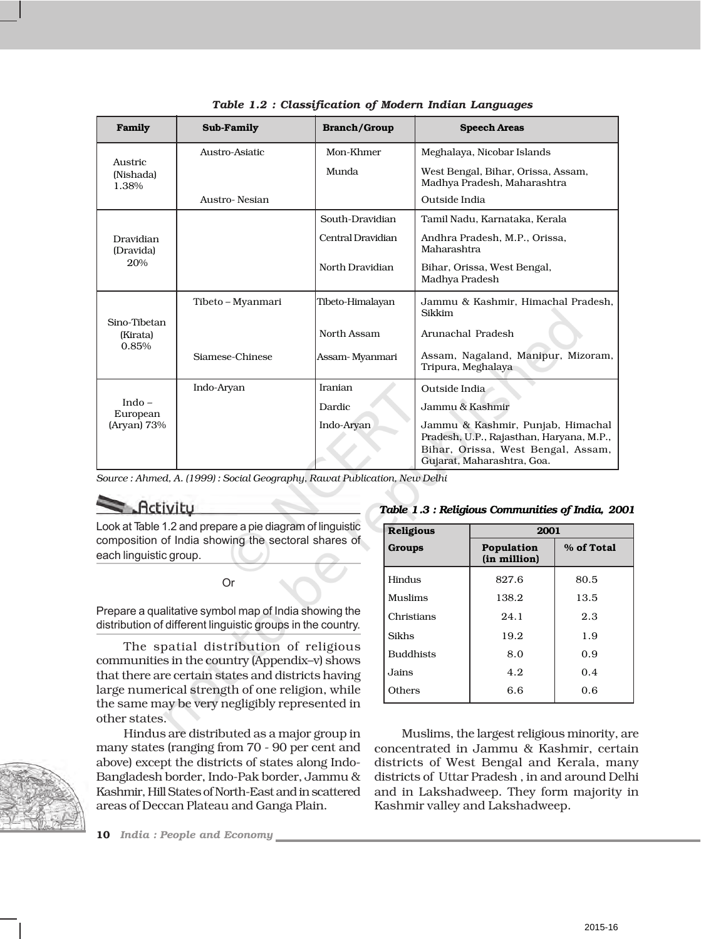| Family                              | Sub-Family        | <b>Branch/Group</b>       | <b>Speech Areas</b>                                                           |  |
|-------------------------------------|-------------------|---------------------------|-------------------------------------------------------------------------------|--|
| Austric<br>(Nishada)<br>1.38%       | Austro-Asiatic    | Mon-Khmer                 | Meghalaya, Nicobar Islands                                                    |  |
|                                     |                   | Munda                     | West Bengal, Bihar, Orissa, Assam,<br>Madhya Pradesh, Maharashtra             |  |
|                                     | Austro-Nesian     |                           | Outside India                                                                 |  |
| Dravidian<br>(Dravida)<br>20%       |                   | South-Dravidian           | Tamil Nadu, Karnataka, Kerala                                                 |  |
|                                     |                   | Central Dravidian         | Andhra Pradesh, M.P., Orissa,<br>Maharashtra                                  |  |
|                                     |                   | North Dravidian           | Bihar, Orissa, West Bengal,<br>Madhya Pradesh                                 |  |
| Sino-Tibetan<br>(Kirata)<br>0.85%   | Tibeto – Myanmari | Tibeto-Himalayan          | Jammu & Kashmir, Himachal Pradesh.<br>Sikkim                                  |  |
|                                     |                   | North Assam               | Arunachal Pradesh                                                             |  |
|                                     | Siamese-Chinese   | Assam-Myanmari            | Assam, Nagaland, Manipur, Mizoram,<br>Tripura, Meghalaya                      |  |
| Indo $-$<br>European<br>(Aryan) 73% | Indo-Aryan        | Iranian                   | Outside India                                                                 |  |
|                                     |                   | Jammu & Kashmir<br>Dardic |                                                                               |  |
|                                     |                   | Indo-Aryan                | Jammu & Kashmir, Punjab, Himachal<br>Pradesh, U.P., Rajasthan, Haryana, M.P., |  |
|                                     |                   |                           | Bihar, Orissa, West Bengal, Assam,<br>Gujarat, Maharashtra, Goa.              |  |

*Source : Ahmed, A. (1999) : Social Geography, Rawat Publication, New Delhi*

**Activity** 

Look at Table 1.2 and prepare a pie diagram of linguistic composition of India showing the sectoral shares of each linguistic group.

Or

Prepare a qualitative symbol map of India showing the distribution of different linguistic groups in the country.

The spatial distribution of religious communities in the country (Appendix–v) shows that there are certain states and districts having large numerical strength of one religion, while the same may be very negligibly represented in other states.

Hindus are distributed as a major group in many states (ranging from 70 - 90 per cent and above) except the districts of states along Indo-Bangladesh border, Indo-Pak border, Jammu & Kashmir, Hill States of North-East and in scattered areas of Deccan Plateau and Ganga Plain.

**10** *India : People and Economy*

*Table 1.3 : Religious Communities of India, 2001*

| <b>Religious</b> |                            | 2001       |  |  |
|------------------|----------------------------|------------|--|--|
| Groups           | Population<br>(in million) | % of Total |  |  |
| Hindus           | 827.6                      | 80.5       |  |  |
| Muslims          | 138.2                      | 13.5       |  |  |
| Christians       | 24.1                       | 2.3        |  |  |
| Sikhs            | 19.2                       | 1.9        |  |  |
| <b>Buddhists</b> | 8.0                        | 0.9        |  |  |
| Jains            | 4.2                        | 0.4        |  |  |
| Others           | 6.6                        | 0.6        |  |  |
|                  |                            |            |  |  |

Muslims, the largest religious minority, are concentrated in Jammu & Kashmir, certain districts of West Bengal and Kerala, many districts of Uttar Pradesh , in and around Delhi and in Lakshadweep. They form majority in Kashmir valley and Lakshadweep.

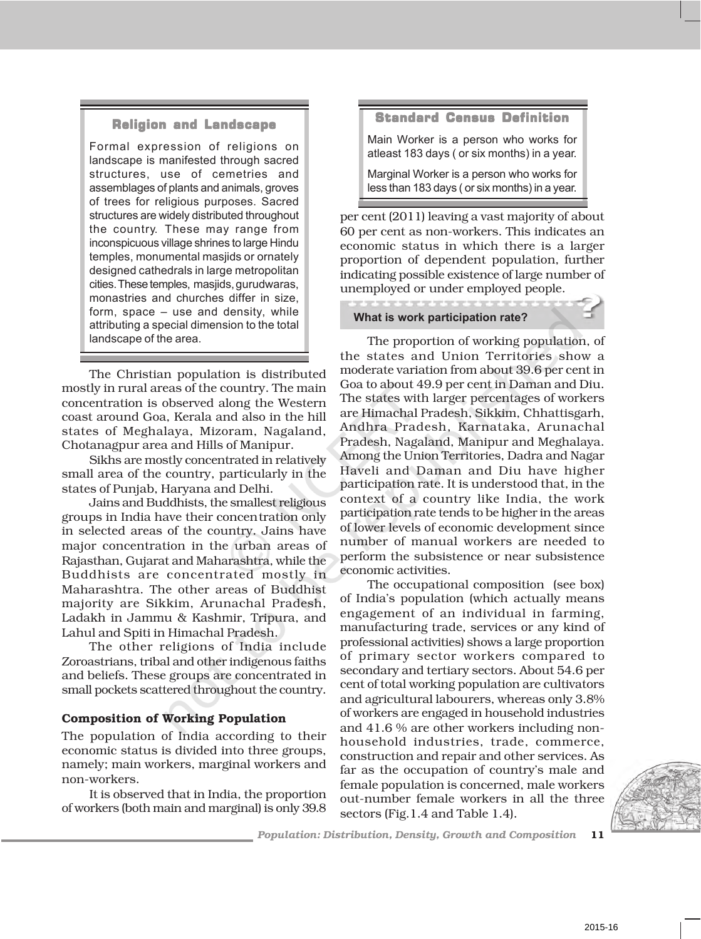# Religion and Landscape

Formal expression of religions on landscape is manifested through sacred structures, use of cemetries and assemblages of plants and animals, groves of trees for religious purposes. Sacred structures are widely distributed throughout the country. These may range from inconspicuous village shrines to large Hindu temples, monumental masjids or ornately designed cathedrals in large metropolitan cities.These temples, masjids, gurudwaras, monastries and churches differ in size, form, space – use and density, while attributing a special dimension to the total landscape of the area.

The Christian population is distributed mostly in rural areas of the country. The main concentration is observed along the Western coast around Goa, Kerala and also in the hill states of Meghalaya, Mizoram, Nagaland, Chotanagpur area and Hills of Manipur.

Sikhs are mostly concentrated in relatively small area of the country, particularly in the states of Punjab, Haryana and Delhi.

Jains and Buddhists, the smallest religious groups in India have their concentration only in selected areas of the country. Jains have major concentration in the urban areas of Rajasthan, Gujarat and Maharashtra, while the Buddhists are concentrated mostly in Maharashtra. The other areas of Buddhist majority are Sikkim, Arunachal Pradesh, Ladakh in Jammu & Kashmir, Tripura, and Lahul and Spiti in Himachal Pradesh.

The other religions of India include Zoroastrians, tribal and other indigenous faiths and beliefs. These groups are concentrated in small pockets scattered throughout the country.

# **Composition of Working Population**

The population of India according to their economic status is divided into three groups, namely; main workers, marginal workers and non-workers.

It is observed that in India, the proportion of workers (both main and marginal) is only 39.8

### Standard Census Definition

Main Worker is a person who works for atleast 183 days ( or six months) in a year.

Marginal Worker is a person who works for less than 183 days ( or six months) in a year. 

per cent (2011) leaving a vast majority of about 60 per cent as non-workers. This indicates an economic status in which there is a larger proportion of dependent population, further indicating possible existence of large number of unemployed or under employed people.

#### **What is work participation rate?**

The proportion of working population, of the states and Union Territories show a moderate variation from about 39.6 per cent in Goa to about 49.9 per cent in Daman and Diu. The states with larger percentages of workers are Himachal Pradesh, Sikkim, Chhattisgarh, Andhra Pradesh, Karnataka, Arunachal Pradesh, Nagaland, Manipur and Meghalaya. Among the Union Territories, Dadra and Nagar Haveli and Daman and Diu have higher participation rate. It is understood that, in the context of a country like India, the work participation rate tends to be higher in the areas of lower levels of economic development since number of manual workers are needed to perform the subsistence or near subsistence economic activities.

The occupational composition (see box) of India's population (which actually means engagement of an individual in farming, manufacturing trade, services or any kind of professional activities) shows a large proportion of primary sector workers compared to secondary and tertiary sectors. About 54.6 per cent of total working population are cultivators and agricultural labourers, whereas only 3.8% of workers are engaged in household industries and 41.6 % are other workers including nonhousehold industries, trade, commerce, construction and repair and other services. As far as the occupation of country's male and female population is concerned, male workers out-number female workers in all the three sectors (Fig.1.4 and Table 1.4).

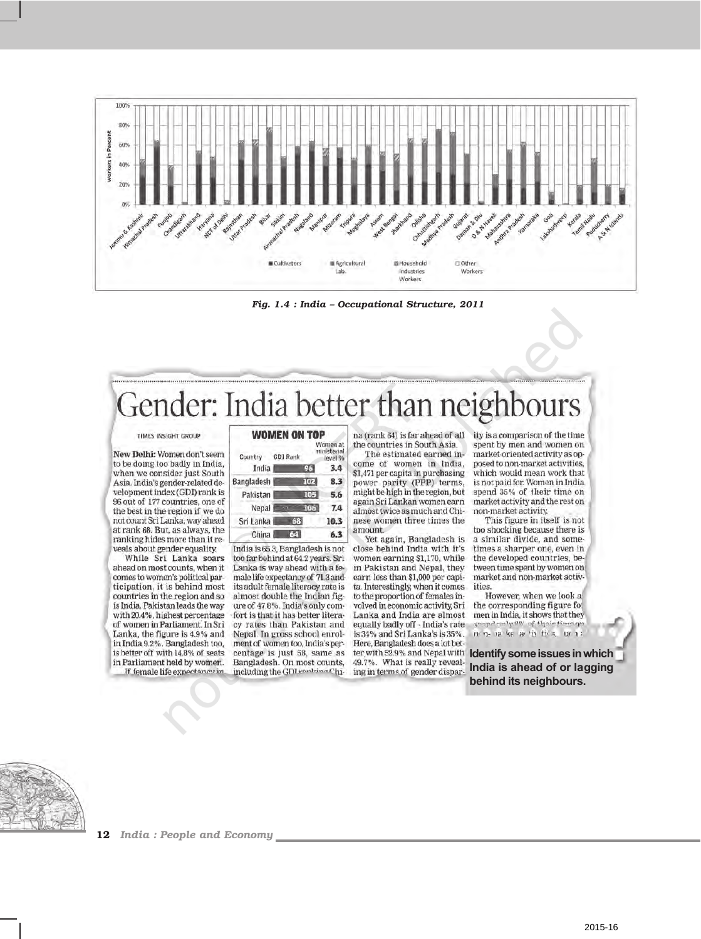

*Fig. 1.4 : India – Occupational Structure, 2011*

# Gender: India better than neight

#### TIMES INSIGHT GROUP

New Delhi: Women don't seem to be doing too badly in India, when we consider just South Asia. India's gender-related development index (GDI) rank is 96 out of 177 countries, one of the best in the region if we do not count Sri Lanka, way ahead at rank 68. But, as always, the ranking hides more than it reveals about gender equality.

While Sri Lanka soars ahead on most counts, when it comes to women's political participation, it is behind most countries in the region and so is India. Pakistan leads the way with 20.4%. highest percentage of women in Parliament. In Sri Lanka, the figure is 4.9% and in India 9.2%. Bangladesh too, is better off with 14.8% of seats in Parliament held by women. If female life expectancy in

#### **WOMEN ON TOP** Women at

| Country GDI Rank |    |     | iisteria<br>level % |
|------------------|----|-----|---------------------|
| India            |    | 96  | 3,4                 |
| Bangladesh       |    | 102 | 8.3                 |
| Pakistan         |    | 105 | 5.6                 |
| Nepal            |    | 106 | 7.4                 |
| Sri Lanka        | 68 |     | 10.3                |
| China            | 64 |     | 6.3                 |

India is 65.3, Bangladesh is not too far behind at 64.2 years. Sri Lanka is way ahead with a female life expectancy of 71.3 and its adult female literacy rate is almost double the Indian figure of 47.8%. India's only comfort is that it has better literacy rates than Pakistan and Nepal. In gross school enrolment of women too, India's percentage is just 58, same as Bangladesh. On most counts, including the GDI realting China (rank 64) is far ahead of all the countries in South Asia.

The estimated earned income of women in India, \$1,471 per capita in purchasing power parity (PPP) terms. might be high in the region, but again Sri Lankan women earn almost twice as much and Chinese women three times the amount.

Yet again, Bangladesh is close behind India with it's women earning \$1,170, while in Pakistan and Nepal, they earn less than \$1,000 per capita. Interestingly, when it comes to the proportion of females involved in economic activity. Sri Lanka and India are almost equally badly off - India's rate is 34% and Sri Lanka's is 35%. Here, Bangladesh does a lot bet-49.7%. What is really reveal ing in terms of gender dispar-

ity is a comparison of the time spent by men and women on market-oriented activity as opposed to non-market activities, which would mean work that is not paid for. Women in India spend 35% of their time on market activity and the rest on non-market activity.

This figure in itself is not too shocking because there is a similar divide, and sometimes a sharper one, even in the developed countries, between time spent by women on market and non-market activities.

However, when we look a the corresponding figure for men in India, it shows that they counterings of their time on ਸਾਜ ਸਕਾਰ ਲਾਇ ਸਿੰਘ ਸ਼ਿੰਮ

ter with 52.9% and Nepal with **Identify some issues in which India is ahead of or lagging behind its neighbours.**

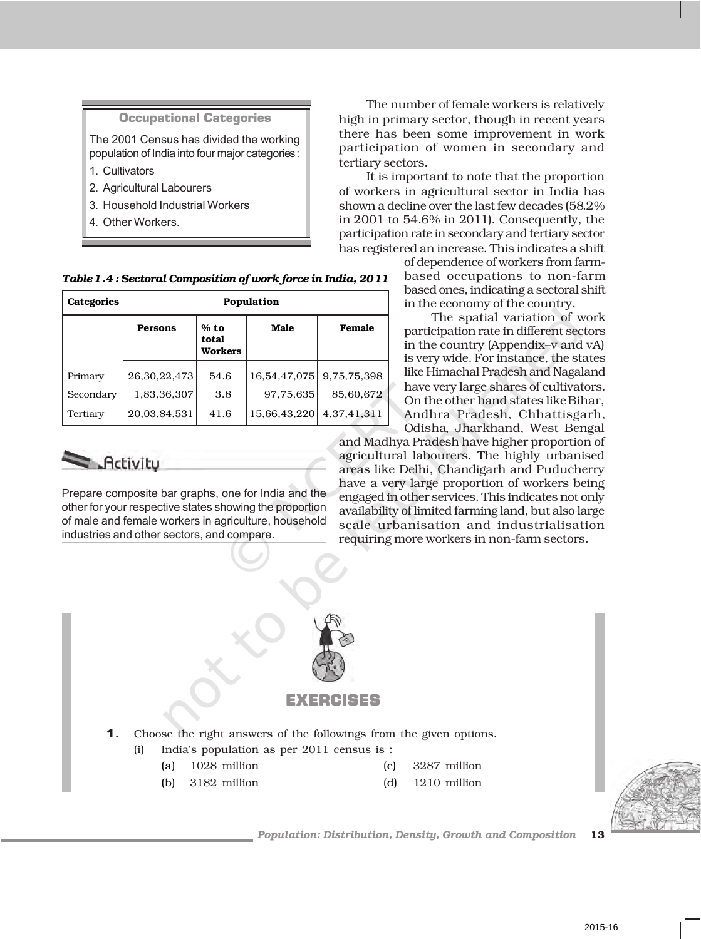| <b>Occupational Categories</b>                                                             |  |
|--------------------------------------------------------------------------------------------|--|
| The 2001 Census has divided the working<br>population of India into four major categories: |  |
| 1. Cultivators                                                                             |  |
| 2. Agricultural Labourers                                                                  |  |
| 3. Household Industrial Workers                                                            |  |
| 4. Other Workers.                                                                          |  |
|                                                                                            |  |

The number of female workers is relatively high in primary sector, though in recent years there has been some improvement in work participation of women in secondary and tertiary sectors.

It is important to note that the proportion of workers in agricultural sector in India has shown a decline over the last few decades (58.2% in 2001 to 54.6% in 2011). Consequently, the participation rate in secondary and tertiary sector has registered an increase. This indicates a shift

> of dependence of workers from farmbased occupations to non-farm based ones, indicating a sectoral shift in the economy of the country.

> The spatial variation of work participation rate in different sectors in the country (Appendix–v and vA) is very wide. For instance, the states like Himachal Pradesh and Nagaland have very large shares of cultivators. On the other hand states like Bihar, Andhra Pradesh, Chhattisgarh, Odisha, Jharkhand, West Bengal

and Madhya Pradesh have higher proportion of agricultural labourers. The highly urbanised areas like Delhi, Chandigarh and Puducherry have a very large proportion of workers being engaged in other services. This indicates not only availability of limited farming land, but also large scale urbanisation and industrialisation requiring more workers in non-farm sectors.



| Categories | Population     |                                   |              |             |
|------------|----------------|-----------------------------------|--------------|-------------|
|            | <b>Persons</b> | $%$ to<br>total<br><b>Workers</b> | Male         | Female      |
| Primary    | 26,30,22,473   | 54.6                              | 16,54,47,075 | 9,75,75,398 |
| Secondary  | 1,83,36,307    | 3.8                               | 97.75.635    | 85,60,672   |
| Tertiary   | 20,03,84,531   | 41.6                              | 15,66,43,220 | 4,37,41,311 |

# $\leq$  Activity

Prepare composite bar graphs, one for India and the other for your respective states showing the proportion of male and female workers in agriculture, household industries and other sectors, and compare.